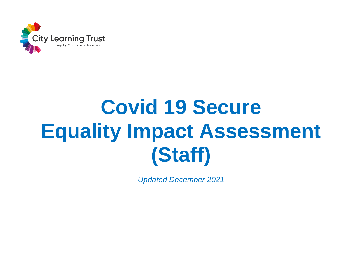

## **Covid 19 Secure Equality Impact Assessment (Staff)**

*Updated December 2021*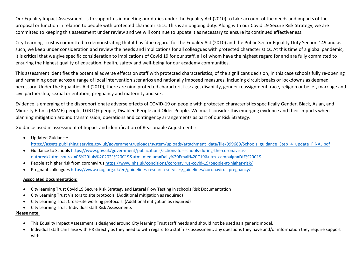Our Equality Impact Assessment is to support us in meeting our duties under the Equality Act (2010) to take account of the needs and impacts of the proposal or function in relation to people with protected characteristics. This is an ongoing duty. Along with our Covid 19 Secure Risk Strategy, we are committed to keeping this assessment under review and we will continue to update it as necessary to ensure its continued effectiveness.

City Learning Trust is committed to demonstrating that it has 'due regard' for the Equality Act (2010) and the Public Sector Equality Duty Section 149 and as such, we keep under consideration and review the needs and implications for all colleagues with protected characteristics. At this time of a global pandemic, it is critical that we give specific consideration to implications of Covid 19 for our staff, all of whom have the highest regard for and are fully committed to ensuring the highest quality of education, health, safety and well-being for our academy communities.

This assessment identifies the potential adverse effects on staff with protected characteristics, of the significant decision, in this case schools fully re-opening and remaining open across a range of local intervention scenarios and nationally imposed measures, including circuit breaks or lockdowns as deemed necessary. Under the Equalities Act (2010), there are nine protected characteristics: age, disability, gender reassignment, race, religion or belief, marriage and civil partnership, sexual orientation, pregnancy and maternity and sex.

Evidence is emerging of the disproportionate adverse effects of COVID-19 on people with protected characteristics specifically Gender, Black, Asian, and Minority Ethnic (BAME) people, LGBTQ+ people, Disabled People and Older People. We must consider this emerging evidence and their impacts when planning mitigation around transmission, operations and contingency arrangements as part of our Risk Strategy.

Guidance used in assessment of Impact and identification of Reasonable Adjustments:

Updated Guidance:

[https://assets.publishing.service.gov.uk/government/uploads/system/uploads/attachment\\_data/file/999689/Schools\\_guidance\\_Step\\_4\\_update\\_FINAL.pdf](https://assets.publishing.service.gov.uk/government/uploads/system/uploads/attachment_data/file/999689/Schools_guidance_Step_4_update_FINAL.pdf)

- Guidance to Schools [https://www.gov.uk/government/publications/actions-for-schools-during-the-coronavirus](https://www.gov.uk/government/publications/actions-for-schools-during-the-coronavirus-outbreak?utm_source=06%20July%202021%20C19&utm_medium=Daily%20Email%20C19&utm_campaign=DfE%20C19)[outbreak?utm\\_source=06%20July%202021%20C19&utm\\_medium=Daily%20Email%20C19&utm\\_campaign=DfE%20C19](https://www.gov.uk/government/publications/actions-for-schools-during-the-coronavirus-outbreak?utm_source=06%20July%202021%20C19&utm_medium=Daily%20Email%20C19&utm_campaign=DfE%20C19)
- People at higher risk from coronavirus<https://www.nhs.uk/conditions/coronavirus-covid-19/people-at-higher-risk/>
- Pregnant colleague[s https://www.rcog.org.uk/en/guidelines-research-services/guidelines/coronavirus-pregnancy/](https://www.rcog.org.uk/en/guidelines-research-services/guidelines/coronavirus-pregnancy/)

## **Associated Documentation:**

- City learning Trust Covid 19 Secure Risk Strategy and Lateral Flow Testing in schools Risk Documentation
- City Learning Trust Visitors to site protocols. (Additional mitigation as required)
- City Learning Trust Cross-site working protocols. (Additional mitigation as required)
- City Learning Trust Individual staff Risk Assessments

## **Please note:**

- This Equality Impact Assessment is designed around City learning Trust staff needs and should not be used as a generic model.
- Individual staff can liaise with HR directly as they need to with regard to a staff risk assessment, any questions they have and/or information they require support with.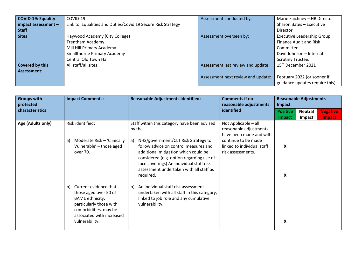| <b>COVID-19: Equality</b> | $COVID-19:$                                                 | Assessment conducted by:           | Marie Faichney - HR Director      |
|---------------------------|-------------------------------------------------------------|------------------------------------|-----------------------------------|
| $im$ pact assessment -    | Link to Equalities and Duties/Covid 19 Secure Risk Strategy |                                    | Sharon Bates - Executive          |
| <b>Staff</b>              |                                                             |                                    | Director                          |
| <b>Sites</b>              | Haywood Academy (City College)                              | Assessment overseen by:            | <b>Executive Leadership Group</b> |
|                           | <b>Trentham Academy</b>                                     |                                    | <b>Finance Audit and Risk</b>     |
|                           | Mill Hill Primary Academy                                   |                                    | Committee.                        |
|                           | <b>Smallthorne Primary Academy</b>                          |                                    | Dave Johnson - Internal           |
|                           | Central Old Town Hall                                       |                                    | <b>Scrutiny Trustee.</b>          |
| <b>Covered by this</b>    | All staff/all sites                                         | Assessment last review and update: | 15 <sup>th</sup> December 2021    |
| <b>Assessment:</b>        |                                                             |                                    |                                   |
|                           |                                                             | Assessment next review and update: | February 2022 (or sooner if       |
|                           |                                                             |                                    | guidance updates require this)    |

| <b>Groups with</b><br>protected | <b>Impact Comments:</b>                                                                                                                                                           | <b>Reasonable Adjustments Identified:</b>                                                                                                                                                                                                                                                                                            | <b>Comments if no</b><br>reasonable adjustments                                                                                                     | Impact                    | <b>Reasonable Adjustments</b> |                           |
|---------------------------------|-----------------------------------------------------------------------------------------------------------------------------------------------------------------------------------|--------------------------------------------------------------------------------------------------------------------------------------------------------------------------------------------------------------------------------------------------------------------------------------------------------------------------------------|-----------------------------------------------------------------------------------------------------------------------------------------------------|---------------------------|-------------------------------|---------------------------|
| characteristics                 |                                                                                                                                                                                   |                                                                                                                                                                                                                                                                                                                                      | identified                                                                                                                                          | <b>Positive</b><br>Impact | <b>Neutral</b><br>Impact      | <b>Negative</b><br>Impact |
| Age (Adults only)               | Risk identified:<br>Moderate Risk - 'Clinically<br>a)<br>Vulnerable' - those aged<br>over 70.                                                                                     | Staff within this category have been advised<br>by the<br>NHS/government/CLT Risk Strategy to<br>a)<br>follow advice on control measures and<br>additional mitigation which could be<br>considered (e.g. option regarding use of<br>face coverings) An individual staff risk<br>assessment undertaken with all staff as<br>required. | Not Applicable - all<br>reasonable adjustments<br>have been made and will<br>continue to be made<br>linked to individual staff<br>risk assessments. | X<br>$\boldsymbol{x}$     |                               |                           |
|                                 | Current evidence that<br>b)<br>those aged over 50 of<br><b>BAME</b> ethnicity,<br>particularly those with<br>comorbidities, may be<br>associated with increased<br>vulnerability. | b) An individual staff risk assessment<br>undertaken with all staff in this category,<br>linked to job role and any cumulative<br>vulnerability.                                                                                                                                                                                     |                                                                                                                                                     | X                         |                               |                           |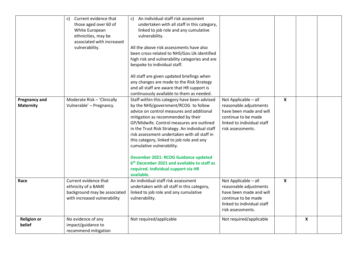|                                          | Current evidence that<br>$\mathsf{C}$<br>those aged over 60 of<br>White European<br>ethnicities, may be<br>associated with increased<br>vulnerability. | An individual staff risk assessment<br>c)<br>undertaken with all staff in this category,<br>linked to job role and any cumulative<br>vulnerability.<br>All the above risk assessments have also<br>been cross-related to NHS/Gov.Uk identified<br>high risk and vulnerability categories and are<br>bespoke to individual staff.                                                                                                                                                                                                                          |                                                                                                                                                     |                           |   |  |
|------------------------------------------|--------------------------------------------------------------------------------------------------------------------------------------------------------|-----------------------------------------------------------------------------------------------------------------------------------------------------------------------------------------------------------------------------------------------------------------------------------------------------------------------------------------------------------------------------------------------------------------------------------------------------------------------------------------------------------------------------------------------------------|-----------------------------------------------------------------------------------------------------------------------------------------------------|---------------------------|---|--|
|                                          |                                                                                                                                                        | All staff are given updated briefings when<br>any changes are made to the Risk Strategy<br>and all staff are aware that HR support is<br>continuously available to them as needed.                                                                                                                                                                                                                                                                                                                                                                        |                                                                                                                                                     |                           |   |  |
| <b>Pregnancy and</b><br><b>Maternity</b> | Moderate Risk - 'Clinically<br>Vulnerable' - Pregnancy.                                                                                                | Staff within this category have been advised<br>by the NHS/government/RCOG to follow<br>advice on control measures and additional<br>mitigation as recommended by their<br>GP/Midwife. Control measures are outlined<br>in the Trust Risk Strategy. An individual staff<br>risk assessment undertaken with all staff in<br>this category, linked to job role and any<br>cumulative vulnerability.<br>December 2021: RCOG Guidance updated<br>6 <sup>th</sup> December 2021 and available to staff as<br>required. Individual support via HR<br>available. | Not Applicable - all<br>reasonable adjustments<br>have been made and will<br>continue to be made<br>linked to individual staff<br>risk assessments. | $\mathbf x$               |   |  |
| Race                                     | Current evidence that<br>ethnicity of a BAME<br>background may be associated<br>with increased vulnerability                                           | An individual staff risk assessment<br>undertaken with all staff in this category,<br>linked to job role and any cumulative<br>vulnerability.                                                                                                                                                                                                                                                                                                                                                                                                             | Not Applicable - all<br>reasonable adjustments<br>have been made and will<br>continue to be made<br>linked to individual staff<br>risk assessments. | $\boldsymbol{\mathsf{X}}$ |   |  |
| <b>Religion or</b><br>belief             | No evidence of any<br>impact/guidance to<br>recommend mitigation                                                                                       | Not required/applicable                                                                                                                                                                                                                                                                                                                                                                                                                                                                                                                                   | Not required/applicable                                                                                                                             |                           | X |  |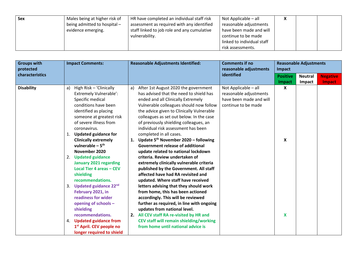| Sex | Males being at higher risk of | HR have completed an individual staff risk  | Not Applicable – all       | v<br>$\mathbf{v}$ |  |
|-----|-------------------------------|---------------------------------------------|----------------------------|-------------------|--|
|     | being admitted to hospital -  | assessment as required with any identified  | reasonable adjustments     |                   |  |
|     | evidence emerging.            | staff linked to job role and any cumulative | have been made and will    |                   |  |
|     |                               | vulnerability.                              | continue to be made        |                   |  |
|     |                               |                                             | linked to individual staff |                   |  |
|     |                               |                                             | risk assessments.          |                   |  |

| <b>Groups with</b><br>protected | <b>Impact Comments:</b>                                                                                                                                                                                                                                                                                                                                                                                                                                                                                                                                                                                                                                               | <b>Reasonable Adjustments Identified:</b>                                                                                                                                                                                                                                                                                                                                                                                                                                                                                                                                                                                                                                                                                                                                                                                                                                                                                                                                                                                                        | <b>Comments if no</b><br>reasonable adjustments                                                  | <b>Reasonable Adjustments</b><br>Impact |                |                 |  |
|---------------------------------|-----------------------------------------------------------------------------------------------------------------------------------------------------------------------------------------------------------------------------------------------------------------------------------------------------------------------------------------------------------------------------------------------------------------------------------------------------------------------------------------------------------------------------------------------------------------------------------------------------------------------------------------------------------------------|--------------------------------------------------------------------------------------------------------------------------------------------------------------------------------------------------------------------------------------------------------------------------------------------------------------------------------------------------------------------------------------------------------------------------------------------------------------------------------------------------------------------------------------------------------------------------------------------------------------------------------------------------------------------------------------------------------------------------------------------------------------------------------------------------------------------------------------------------------------------------------------------------------------------------------------------------------------------------------------------------------------------------------------------------|--------------------------------------------------------------------------------------------------|-----------------------------------------|----------------|-----------------|--|
| characteristics                 |                                                                                                                                                                                                                                                                                                                                                                                                                                                                                                                                                                                                                                                                       |                                                                                                                                                                                                                                                                                                                                                                                                                                                                                                                                                                                                                                                                                                                                                                                                                                                                                                                                                                                                                                                  | identified                                                                                       | <b>Positive</b>                         | <b>Neutral</b> | <b>Negative</b> |  |
|                                 |                                                                                                                                                                                                                                                                                                                                                                                                                                                                                                                                                                                                                                                                       |                                                                                                                                                                                                                                                                                                                                                                                                                                                                                                                                                                                                                                                                                                                                                                                                                                                                                                                                                                                                                                                  |                                                                                                  | Impact                                  | Impact         | Impact          |  |
| <b>Disability</b>               | High Risk - 'Clinically<br>a)<br><b>Extremely Vulnerable':</b><br>Specific medical<br>conditions have been<br>identified as placing<br>someone at greatest risk<br>of severe illness from<br>coronavirus.<br>1. Updated guidance for<br><b>Clinically extremely</b><br>vulnerable $-5$ <sup>th</sup><br>November 2020<br>2. Updated guidance<br>January 2021 regarding<br>Local Tier 4 areas - CEV<br>shielding<br>recommendations.<br>3. Updated guidance 22nd<br>February 2021, in<br>readiness for wider<br>opening of schools -<br>shielding<br>recommendations.<br>4. Updated guidance from<br>1 <sup>st</sup> April. CEV people no<br>longer required to shield | After 1st August 2020 the government<br>a)<br>has advised that the need to shield has<br>ended and all Clinically Extremely<br>Vulnerable colleagues should now follow<br>the advice given to Clinically Vulnerable<br>colleagues as set out below. In the case<br>of previously shielding colleagues, an<br>individual risk assessment has been<br>completed in all cases.<br>Update $5th$ November 2020 – following<br>1.<br><b>Government release of additional</b><br>update related to national lockdown<br>criteria. Review undertaken of<br>extremely clinically vulnerable criteria<br>published by the Government. All staff<br>affected have had RA revisited and<br>updated. Where staff have received<br>letters advising that they should work<br>from home, this has been actioned<br>accordingly. This will be reviewed<br>further as required, in line with ongoing<br>updates from national level.<br>2. All CEV staff RA re-visited by HR and<br>CEV staff will remain shielding/working<br>from home until national advice is | Not Applicable - all<br>reasonable adjustments<br>have been made and will<br>continue to be made | X<br>X<br>X                             |                |                 |  |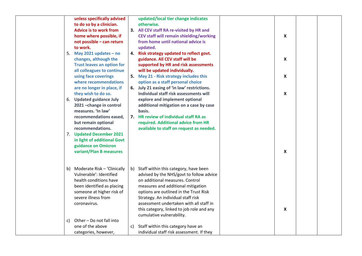|    | unless specifically advised       |    | updated/local tier change indicates                                                  |                    |  |
|----|-----------------------------------|----|--------------------------------------------------------------------------------------|--------------------|--|
|    | to do so by a clinician.          |    | otherwise.                                                                           |                    |  |
|    | <b>Advice is to work from</b>     |    | 3. All CEV staff RA re-visited by HR and                                             |                    |  |
|    | home where possible, if           |    | CEV staff will remain shielding/working                                              | X                  |  |
|    | not possible - can return         |    | from home until national advice is                                                   |                    |  |
|    | to work.                          |    | updated.                                                                             |                    |  |
| 5. | May 2021 updates $-$ no           |    | 4. Risk strategy updated to reflect govt.                                            |                    |  |
|    | changes, although the             |    | guidance. All CEV staff will be                                                      | X                  |  |
|    | <b>Trust leaves an option for</b> |    | supported by HR and risk assessments                                                 |                    |  |
|    | all colleagues to continue        |    | will be updated individually.                                                        |                    |  |
|    | using face coverings              |    | 5. May 21 - Risk strategy includes this                                              | $\pmb{\mathsf{X}}$ |  |
|    | where recommendations             |    | option as a staff personal choice                                                    |                    |  |
|    | are no longer in place, if        |    | 6. July 21 easing of 'in law' restrictions.                                          |                    |  |
|    | they wish to do so.               |    | Individual staff risk assessments will                                               | $\pmb{\mathsf{x}}$ |  |
|    | 6. Updated guidance July          |    | explore and implement optional                                                       |                    |  |
|    | 2021-change in control            |    | additional mitigation on a case by case                                              |                    |  |
|    | measures. 'In law'                |    | basis.                                                                               |                    |  |
|    | recommendations eased,            |    | 7. HR review of individual staff RA as                                               |                    |  |
|    | but remain optional               |    | required. Additional advice from HR                                                  |                    |  |
|    | recommendations.                  |    | available to staff on request as needed.                                             |                    |  |
|    | 7. Updated December 2021          |    |                                                                                      |                    |  |
|    | in light of additional Govt       |    |                                                                                      |                    |  |
|    | guidance on Omicron               |    |                                                                                      |                    |  |
|    | variant/Plan B measures           |    |                                                                                      | X                  |  |
|    |                                   |    |                                                                                      |                    |  |
|    |                                   |    |                                                                                      |                    |  |
|    | Moderate Risk - 'Clinically       |    |                                                                                      |                    |  |
| b) | Vulnerable': Identified           |    | b) Staff within this category, have been<br>advised by the NHS/govt to follow advice |                    |  |
|    | health conditions have            |    |                                                                                      |                    |  |
|    |                                   |    | on additional measures. Control                                                      |                    |  |
|    | been identified as placing        |    | measures and additional mitigation                                                   |                    |  |
|    | someone at higher risk of         |    | options are outlined in the Trust Risk                                               |                    |  |
|    | severe illness from               |    | Strategy. An individual staff risk                                                   |                    |  |
|    | coronavirus.                      |    | assessment undertaken with all staff in                                              |                    |  |
|    |                                   |    | this category, linked to job role and any                                            | X                  |  |
|    |                                   |    | cumulative vulnerability.                                                            |                    |  |
| C) | Other - Do not fall into          |    |                                                                                      |                    |  |
|    | one of the above                  | c) | Staff within this category have an                                                   |                    |  |
|    | categories, however,              |    | individual staff risk assessment. If they                                            |                    |  |